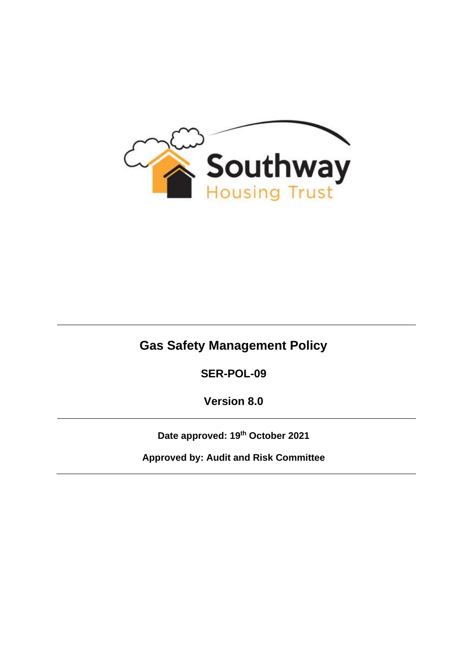

# **Gas Safety Management Policy**

**SER-POL-09**

**Version 8.0**

**Date approved: 19th October 2021**

**Approved by: Audit and Risk Committee**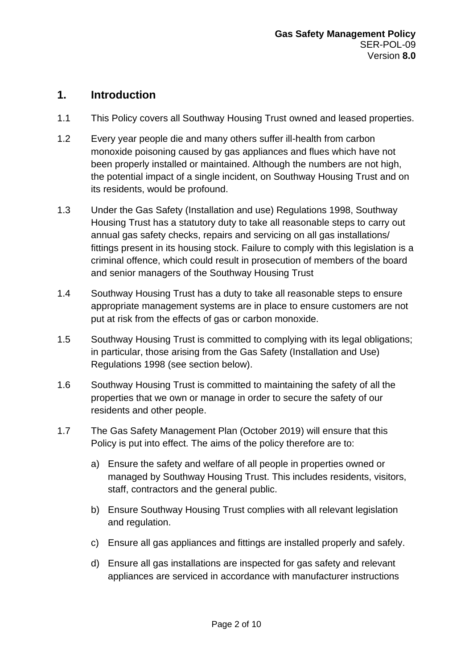### **1. Introduction**

- 1.1 This Policy covers all Southway Housing Trust owned and leased properties.
- 1.2 Every year people die and many others suffer ill-health from carbon monoxide poisoning caused by gas appliances and flues which have not been properly installed or maintained. Although the numbers are not high, the potential impact of a single incident, on Southway Housing Trust and on its residents, would be profound.
- 1.3 Under the Gas Safety (Installation and use) Regulations 1998, Southway Housing Trust has a statutory duty to take all reasonable steps to carry out annual gas safety checks, repairs and servicing on all gas installations/ fittings present in its housing stock. Failure to comply with this legislation is a criminal offence, which could result in prosecution of members of the board and senior managers of the Southway Housing Trust
- 1.4 Southway Housing Trust has a duty to take all reasonable steps to ensure appropriate management systems are in place to ensure customers are not put at risk from the effects of gas or carbon monoxide.
- 1.5 Southway Housing Trust is committed to complying with its legal obligations; in particular, those arising from the Gas Safety (Installation and Use) Regulations 1998 (see section below).
- 1.6 Southway Housing Trust is committed to maintaining the safety of all the properties that we own or manage in order to secure the safety of our residents and other people.
- 1.7 The Gas Safety Management Plan (October 2019) will ensure that this Policy is put into effect. The aims of the policy therefore are to:
	- a) Ensure the safety and welfare of all people in properties owned or managed by Southway Housing Trust. This includes residents, visitors, staff, contractors and the general public.
	- b) Ensure Southway Housing Trust complies with all relevant legislation and regulation.
	- c) Ensure all gas appliances and fittings are installed properly and safely.
	- d) Ensure all gas installations are inspected for gas safety and relevant appliances are serviced in accordance with manufacturer instructions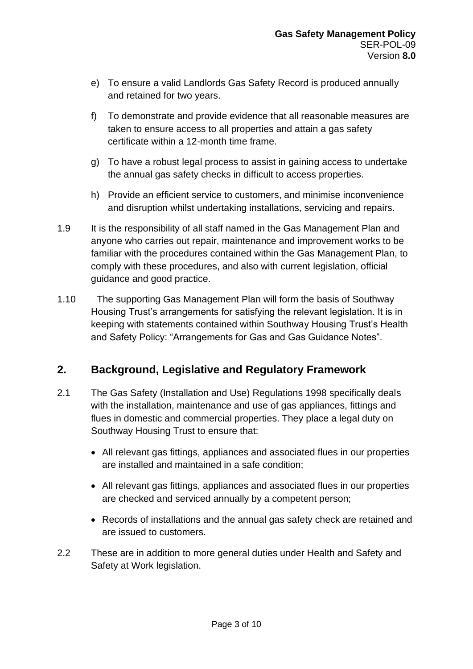- e) To ensure a valid Landlords Gas Safety Record is produced annually and retained for two years.
- f) To demonstrate and provide evidence that all reasonable measures are taken to ensure access to all properties and attain a gas safety certificate within a 12-month time frame.
- g) To have a robust legal process to assist in gaining access to undertake the annual gas safety checks in difficult to access properties.
- h) Provide an efficient service to customers, and minimise inconvenience and disruption whilst undertaking installations, servicing and repairs.
- 1.9 It is the responsibility of all staff named in the Gas Management Plan and anyone who carries out repair, maintenance and improvement works to be familiar with the procedures contained within the Gas Management Plan, to comply with these procedures, and also with current legislation, official guidance and good practice.
- 1.10 The supporting Gas Management Plan will form the basis of Southway Housing Trust's arrangements for satisfying the relevant legislation. It is in keeping with statements contained within Southway Housing Trust's Health and Safety Policy: "Arrangements for Gas and Gas Guidance Notes".

# **2. Background, Legislative and Regulatory Framework**

- 2.1 The Gas Safety (Installation and Use) Regulations 1998 specifically deals with the installation, maintenance and use of gas appliances, fittings and flues in domestic and commercial properties. They place a legal duty on Southway Housing Trust to ensure that:
	- All relevant gas fittings, appliances and associated flues in our properties are installed and maintained in a safe condition;
	- All relevant gas fittings, appliances and associated flues in our properties are checked and serviced annually by a competent person;
	- Records of installations and the annual gas safety check are retained and are issued to customers.
- 2.2 These are in addition to more general duties under Health and Safety and Safety at Work legislation.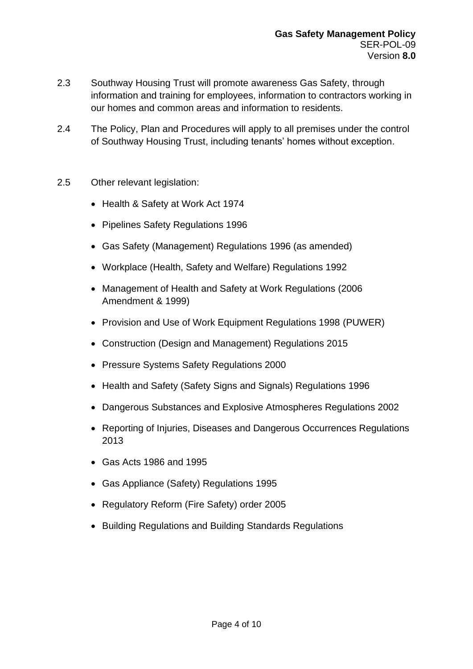- 2.3 Southway Housing Trust will promote awareness Gas Safety, through information and training for employees, information to contractors working in our homes and common areas and information to residents.
- 2.4 The Policy, Plan and Procedures will apply to all premises under the control of Southway Housing Trust, including tenants' homes without exception.
- 2.5 Other relevant legislation:
	- Health & Safety at Work Act 1974
	- Pipelines Safety Regulations 1996
	- Gas Safety (Management) Regulations 1996 (as amended)
	- Workplace (Health, Safety and Welfare) Regulations 1992
	- Management of Health and Safety at Work Regulations (2006 Amendment & 1999)
	- Provision and Use of Work Equipment Regulations 1998 (PUWER)
	- Construction (Design and Management) Regulations 2015
	- Pressure Systems Safety Regulations 2000
	- Health and Safety (Safety Signs and Signals) Regulations 1996
	- Dangerous Substances and Explosive Atmospheres Regulations 2002
	- Reporting of Injuries, Diseases and Dangerous Occurrences Regulations 2013
	- Gas Acts 1986 and 1995
	- Gas Appliance (Safety) Regulations 1995
	- Regulatory Reform (Fire Safety) order 2005
	- Building Regulations and Building Standards Regulations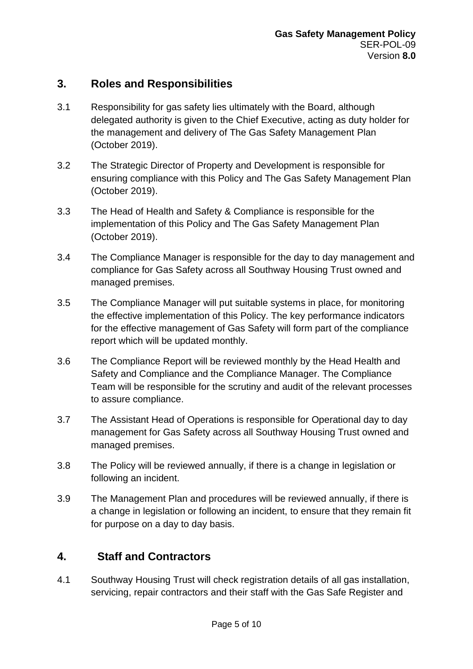# **3. Roles and Responsibilities**

- 3.1 Responsibility for gas safety lies ultimately with the Board, although delegated authority is given to the Chief Executive, acting as duty holder for the management and delivery of The Gas Safety Management Plan (October 2019).
- 3.2 The Strategic Director of Property and Development is responsible for ensuring compliance with this Policy and The Gas Safety Management Plan (October 2019).
- 3.3 The Head of Health and Safety & Compliance is responsible for the implementation of this Policy and The Gas Safety Management Plan (October 2019).
- 3.4 The Compliance Manager is responsible for the day to day management and compliance for Gas Safety across all Southway Housing Trust owned and managed premises.
- 3.5 The Compliance Manager will put suitable systems in place, for monitoring the effective implementation of this Policy. The key performance indicators for the effective management of Gas Safety will form part of the compliance report which will be updated monthly.
- 3.6 The Compliance Report will be reviewed monthly by the Head Health and Safety and Compliance and the Compliance Manager. The Compliance Team will be responsible for the scrutiny and audit of the relevant processes to assure compliance.
- 3.7 The Assistant Head of Operations is responsible for Operational day to day management for Gas Safety across all Southway Housing Trust owned and managed premises.
- 3.8 The Policy will be reviewed annually, if there is a change in legislation or following an incident.
- 3.9 The Management Plan and procedures will be reviewed annually, if there is a change in legislation or following an incident, to ensure that they remain fit for purpose on a day to day basis.

# **4. Staff and Contractors**

4.1 Southway Housing Trust will check registration details of all gas installation, servicing, repair contractors and their staff with the Gas Safe Register and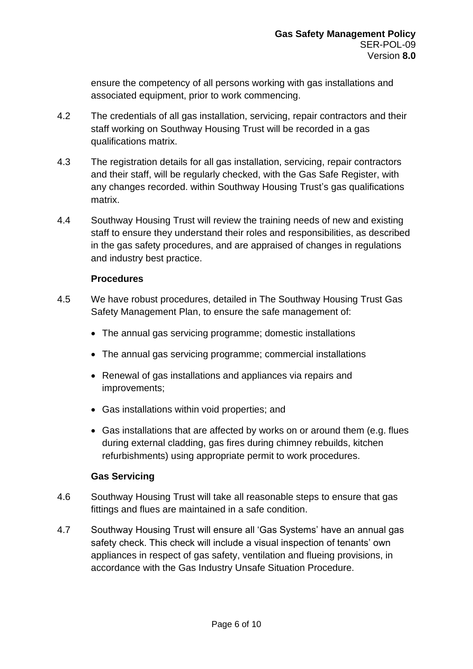ensure the competency of all persons working with gas installations and associated equipment, prior to work commencing.

- 4.2 The credentials of all gas installation, servicing, repair contractors and their staff working on Southway Housing Trust will be recorded in a gas qualifications matrix.
- 4.3 The registration details for all gas installation, servicing, repair contractors and their staff, will be regularly checked, with the Gas Safe Register, with any changes recorded. within Southway Housing Trust's gas qualifications matrix.
- 4.4 Southway Housing Trust will review the training needs of new and existing staff to ensure they understand their roles and responsibilities, as described in the gas safety procedures, and are appraised of changes in regulations and industry best practice.

### **Procedures**

- 4.5 We have robust procedures, detailed in The Southway Housing Trust Gas Safety Management Plan, to ensure the safe management of:
	- The annual gas servicing programme; domestic installations
	- The annual gas servicing programme; commercial installations
	- Renewal of gas installations and appliances via repairs and improvements;
	- Gas installations within void properties; and
	- Gas installations that are affected by works on or around them (e.g. flues during external cladding, gas fires during chimney rebuilds, kitchen refurbishments) using appropriate permit to work procedures.

### **Gas Servicing**

- 4.6 Southway Housing Trust will take all reasonable steps to ensure that gas fittings and flues are maintained in a safe condition.
- 4.7 Southway Housing Trust will ensure all 'Gas Systems' have an annual gas safety check. This check will include a visual inspection of tenants' own appliances in respect of gas safety, ventilation and flueing provisions, in accordance with the Gas Industry Unsafe Situation Procedure.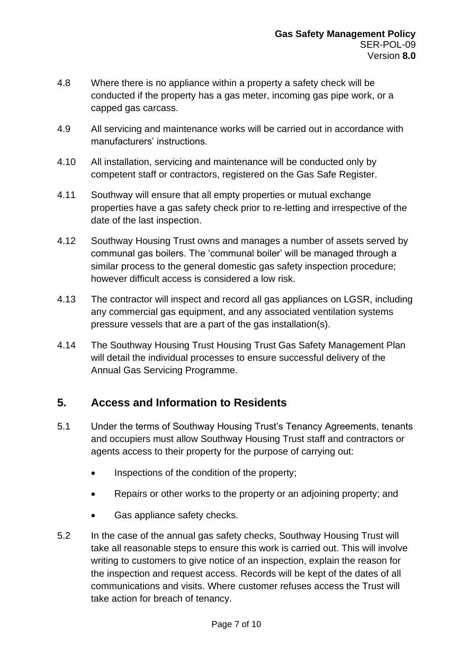- 4.8 Where there is no appliance within a property a safety check will be conducted if the property has a gas meter, incoming gas pipe work, or a capped gas carcass.
- 4.9 All servicing and maintenance works will be carried out in accordance with manufacturers' instructions.
- 4.10 All installation, servicing and maintenance will be conducted only by competent staff or contractors, registered on the Gas Safe Register.
- 4.11 Southway will ensure that all empty properties or mutual exchange properties have a gas safety check prior to re-letting and irrespective of the date of the last inspection.
- 4.12 Southway Housing Trust owns and manages a number of assets served by communal gas boilers. The 'communal boiler' will be managed through a similar process to the general domestic gas safety inspection procedure; however difficult access is considered a low risk.
- 4.13 The contractor will inspect and record all gas appliances on LGSR, including any commercial gas equipment, and any associated ventilation systems pressure vessels that are a part of the gas installation(s).
- 4.14 The Southway Housing Trust Housing Trust Gas Safety Management Plan will detail the individual processes to ensure successful delivery of the Annual Gas Servicing Programme.

# **5. Access and Information to Residents**

- 5.1 Under the terms of Southway Housing Trust's Tenancy Agreements, tenants and occupiers must allow Southway Housing Trust staff and contractors or agents access to their property for the purpose of carrying out:
	- Inspections of the condition of the property;
	- Repairs or other works to the property or an adjoining property; and
	- Gas appliance safety checks.
- 5.2 In the case of the annual gas safety checks, Southway Housing Trust will take all reasonable steps to ensure this work is carried out. This will involve writing to customers to give notice of an inspection, explain the reason for the inspection and request access. Records will be kept of the dates of all communications and visits. Where customer refuses access the Trust will take action for breach of tenancy.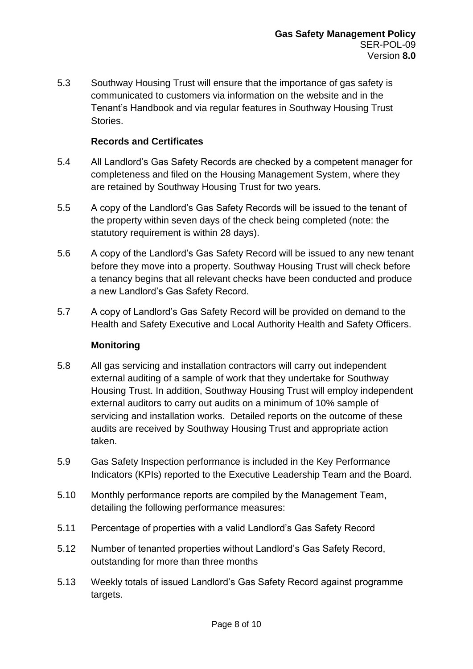5.3 Southway Housing Trust will ensure that the importance of gas safety is communicated to customers via information on the website and in the Tenant's Handbook and via regular features in Southway Housing Trust **Stories** 

#### **Records and Certificates**

- 5.4 All Landlord's Gas Safety Records are checked by a competent manager for completeness and filed on the Housing Management System, where they are retained by Southway Housing Trust for two years.
- 5.5 A copy of the Landlord's Gas Safety Records will be issued to the tenant of the property within seven days of the check being completed (note: the statutory requirement is within 28 days).
- 5.6 A copy of the Landlord's Gas Safety Record will be issued to any new tenant before they move into a property. Southway Housing Trust will check before a tenancy begins that all relevant checks have been conducted and produce a new Landlord's Gas Safety Record.
- 5.7 A copy of Landlord's Gas Safety Record will be provided on demand to the Health and Safety Executive and Local Authority Health and Safety Officers.

### **Monitoring**

- 5.8 All gas servicing and installation contractors will carry out independent external auditing of a sample of work that they undertake for Southway Housing Trust. In addition, Southway Housing Trust will employ independent external auditors to carry out audits on a minimum of 10% sample of servicing and installation works. Detailed reports on the outcome of these audits are received by Southway Housing Trust and appropriate action taken.
- 5.9 Gas Safety Inspection performance is included in the Key Performance Indicators (KPIs) reported to the Executive Leadership Team and the Board.
- 5.10 Monthly performance reports are compiled by the Management Team, detailing the following performance measures:
- 5.11 Percentage of properties with a valid Landlord's Gas Safety Record
- 5.12 Number of tenanted properties without Landlord's Gas Safety Record, outstanding for more than three months
- 5.13 Weekly totals of issued Landlord's Gas Safety Record against programme targets.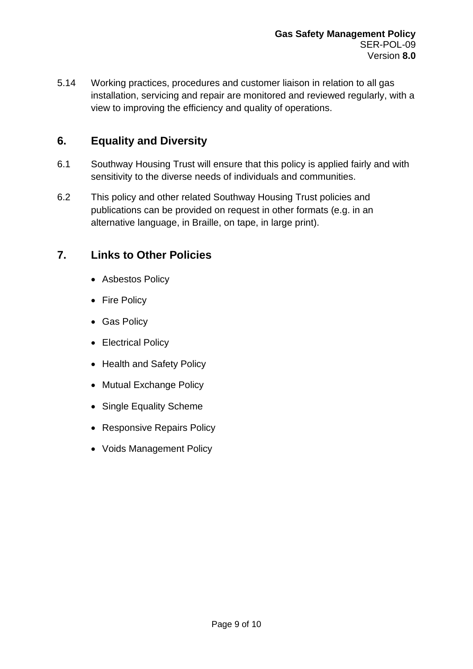5.14 Working practices, procedures and customer liaison in relation to all gas installation, servicing and repair are monitored and reviewed regularly, with a view to improving the efficiency and quality of operations.

# **6. Equality and Diversity**

- 6.1 Southway Housing Trust will ensure that this policy is applied fairly and with sensitivity to the diverse needs of individuals and communities.
- 6.2 This policy and other related Southway Housing Trust policies and publications can be provided on request in other formats (e.g. in an alternative language, in Braille, on tape, in large print).

# **7. Links to Other Policies**

- Asbestos Policy
- Fire Policy
- Gas Policy
- Electrical Policy
- Health and Safety Policy
- Mutual Exchange Policy
- Single Equality Scheme
- Responsive Repairs Policy
- Voids Management Policy